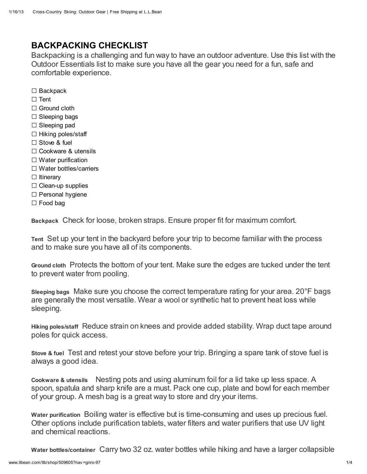## BACKPACKING CHECKLIST

Backpacking is a challenging and fun way to have an outdoor adventure. Use this list with the Outdoor Essentials list to make sure you have all the gear you need for a fun, safe and comfortable experience.

- □ Backpack
- □ Tent
- □ Ground cloth
- $\square$  Sleeping bags
- □ Sleeping pad
- $\square$  Hiking poles/staff
- □ Stove & fuel
- □ Cookware & utensils
- □ Water purification
- □ Water bottles/carriers
- □ Itinerary
- $\Box$  Clean-up supplies
- □ Personal hygiene
- □ Food bag

Backpack Check for loose, broken straps. Ensure proper fit for maximum comfort.

Tent Set up your tent in the backyard before your trip to become familiar with the process and to make sure you have all of its components.

Ground cloth Protects the bottom of your tent. Make sure the edges are tucked under the tent to prevent water from pooling.

Sleeping bags Make sure you choose the correct temperature rating for your area. 20°F bags are generally the most versatile. Wear a wool or synthetic hat to prevent heat loss while sleeping.

Hiking poles/staff Reduce strain on knees and provide added stability. Wrap duct tape around poles for quick access.

Stove & fuel Test and retest your stove before your trip. Bringing a spare tank of stove fuel is always a good idea.

Cookware & utensils Nesting pots and using aluminum foil for a lid take up less space. A spoon, spatula and sharp knife are a must. Pack one cup, plate and bowl for each member of your group. A mesh bag is a great way to store and dry your items.

Water purification Boiling water is effective but is time-consuming and uses up precious fuel. Other options include purification tablets, water filters and water purifiers that use UV light and chemical reactions.

Water bottles/container Carry two 32 oz. water bottles while hiking and have a larger collapsible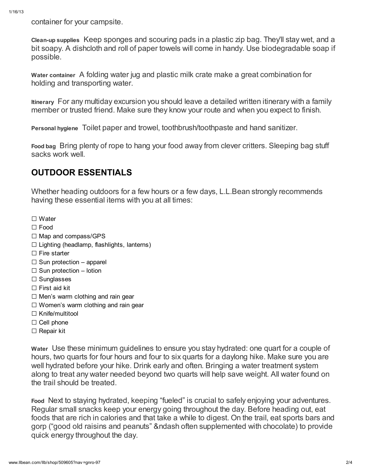container for your campsite.

Clean-up supplies Keep sponges and scouring pads in a plastic zip bag. They'll stay wet, and a bit soapy. A dishcloth and roll of paper towels will come in handy. Use biodegradable soap if possible.

Water container A folding water jug and plastic milk crate make a great combination for holding and transporting water.

Itinerary For any multiday excursion you should leave a detailed written itinerary with a family member or trusted friend. Make sure they know your route and when you expect to finish.

Personal hygiene Toilet paper and trowel, toothbrush/toothpaste and hand sanitizer.

Food bag Bring plenty of rope to hang your food away from clever critters. Sleeping bag stuff sacks work well.

## OUTDOOR ESSENTIALS

Whether heading outdoors for a few hours or a few days, L.L.Bean strongly recommends having these essential items with you at all times:

- □ Water
- □ Food
- □ Map and compass/GPS
- $\Box$  Lighting (headlamp, flashlights, lanterns)
- □ Fire starter
- $\square$  Sun protection apparel
- $\square$  Sun protection lotion
- □ Sunglasses
- □ First aid kit
- $\square$  Men's warm clothing and rain gear
- $\square$  Women's warm clothing and rain gear
- □ Knife/multitool
- □ Cell phone
- □ Repair kit

Water Use these minimum guidelines to ensure you stay hydrated: one quart for a couple of hours, two quarts for four hours and four to six quarts for a daylong hike. Make sure you are well hydrated before your hike. Drink early and often. Bringing a water treatment system along to treat any water needed beyond two quarts will help save weight. All water found on the trail should be treated.

Food Next to staying hydrated, keeping "fueled" is crucial to safely enjoying your adventures. Regular small snacks keep your energy going throughout the day. Before heading out, eat foods that are rich in calories and that take a while to digest. On the trail, eat sports bars and gorp ("good old raisins and peanuts" &ndash often supplemented with chocolate) to provide quick energy throughout the day.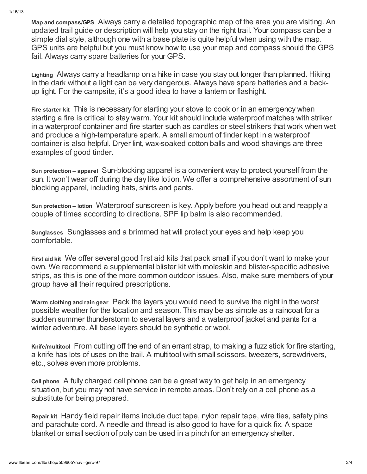Map and compass/GPS Always carry a detailed topographic map of the area you are visiting. An updated trail guide or description will help you stay on the right trail. Your compass can be a simple dial style, although one with a base plate is quite helpful when using with the map. GPS units are helpful but you must know how to use your map and compass should the GPS fail. Always carry spare batteries for your GPS.

Lighting Always carry a headlamp on a hike in case you stay out longer than planned. Hiking in the dark without a light can be very dangerous. Always have spare batteries and a backup light. For the campsite, it's a good idea to have a lantern or flashight.

Fire starter kit This is necessary for starting your stove to cook or in an emergency when starting a fire is critical to stay warm. Your kit should include waterproof matches with striker in a waterproof container and fire starter such as candles or steel strikers that work when wet and produce a high-temperature spark. A small amount of tinder kept in a waterproof container is also helpful. Dryer lint, wax-soaked cotton balls and wood shavings are three examples of good tinder.

Sun protection – apparel Sun-blocking apparel is a convenient way to protect yourself from the sun. It won't wear off during the day like lotion. We offer a comprehensive assortment of sun blocking apparel, including hats, shirts and pants.

Sun protection – lotion Waterproof sunscreen is key. Apply before you head out and reapply a couple of times according to directions. SPF lip balm is also recommended.

Sunglasses Sunglasses and a brimmed hat will protect your eyes and help keep you comfortable.

First aid kit We offer several good first aid kits that pack small if you don't want to make your own. We recommend a supplemental blister kit with moleskin and blister-specific adhesive strips, as this is one of the more common outdoor issues. Also, make sure members of your group have all their required prescriptions.

Warm clothing and rain gear Pack the layers you would need to survive the night in the worst possible weather for the location and season. This may be as simple as a raincoat for a sudden summer thunderstorm to several layers and a waterproof jacket and pants for a winter adventure. All base layers should be synthetic or wool.

Knife/multitool From cutting off the end of an errant strap, to making a fuzz stick for fire starting, a knife has lots of uses on the trail. A multitool with small scissors, tweezers, screwdrivers, etc., solves even more problems.

Cell phone A fully charged cell phone can be a great way to get help in an emergency situation, but you may not have service in remote areas. Don't rely on a cell phone as a substitute for being prepared.

Repair kit Handy field repair items include duct tape, nylon repair tape, wire ties, safety pins and parachute cord. A needle and thread is also good to have for a quick fix. A space blanket or small section of poly can be used in a pinch for an emergency shelter.